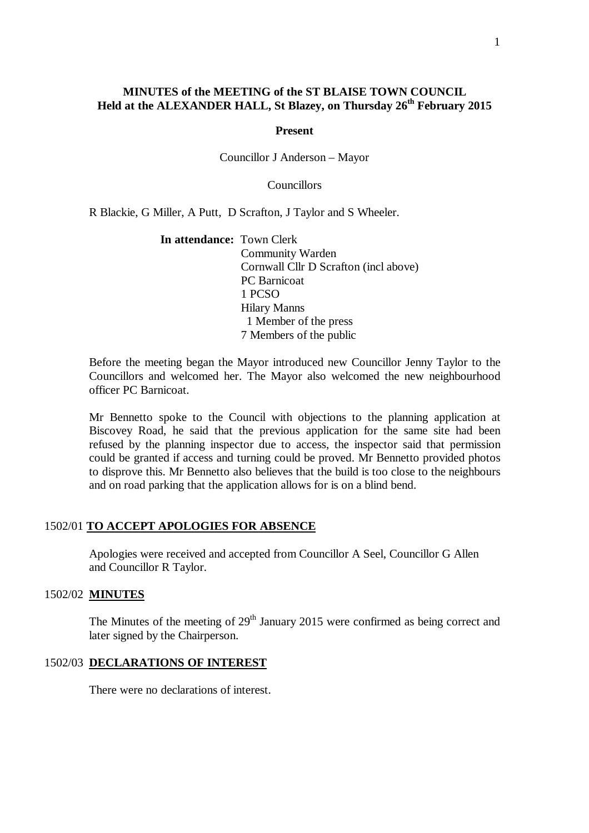# **MINUTES of the MEETING of the ST BLAISE TOWN COUNCIL Held at the ALEXANDER HALL, St Blazey, on Thursday 26 th February 2015**

#### **Present**

Councillor J Anderson – Mayor

**Councillors** 

R Blackie, G Miller, A Putt, D Scrafton, J Taylor and S Wheeler.

**In attendance:** Town Clerk Community Warden Cornwall Cllr D Scrafton (incl above) PC Barnicoat 1 PCSO Hilary Manns 1 Member of the press 7 Members of the public

Before the meeting began the Mayor introduced new Councillor Jenny Taylor to the Councillors and welcomed her. The Mayor also welcomed the new neighbourhood officer PC Barnicoat.

Mr Bennetto spoke to the Council with objections to the planning application at Biscovey Road, he said that the previous application for the same site had been refused by the planning inspector due to access, the inspector said that permission could be granted if access and turning could be proved. Mr Bennetto provided photos to disprove this. Mr Bennetto also believes that the build is too close to the neighbours and on road parking that the application allows for is on a blind bend.

# 1502/01 **TO ACCEPT APOLOGIES FOR ABSENCE**

Apologies were received and accepted from Councillor A Seel, Councillor G Allen and Councillor R Taylor.

#### 1502/02 **MINUTES**

The Minutes of the meeting of  $29<sup>th</sup>$  January 2015 were confirmed as being correct and later signed by the Chairperson.

### 1502/03 **DECLARATIONS OF INTEREST**

There were no declarations of interest.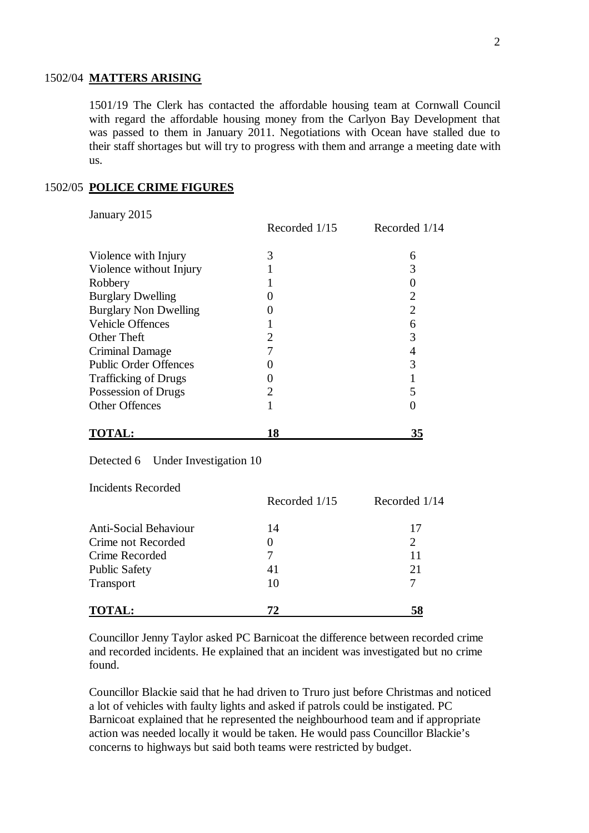## 1502/04 **MATTERS ARISING**

1501/19 The Clerk has contacted the affordable housing team at Cornwall Council with regard the affordable housing money from the Carlyon Bay Development that was passed to them in January 2011. Negotiations with Ocean have stalled due to their staff shortages but will try to progress with them and arrange a meeting date with us.

### 1502/05 **POLICE CRIME FIGURES**

January 2015

|                              | Recorded 1/15 | Recorded 1/14         |
|------------------------------|---------------|-----------------------|
| Violence with Injury         | 3             | 6                     |
| Violence without Injury      |               |                       |
| Robbery                      |               |                       |
| <b>Burglary Dwelling</b>     |               | $\mathcal{D}_{\cdot}$ |
| <b>Burglary Non Dwelling</b> |               | 2                     |
| <b>Vehicle Offences</b>      |               | 6                     |
| Other Theft                  |               | 3                     |
| Criminal Damage              |               |                       |
| <b>Public Order Offences</b> |               | 3                     |
| <b>Trafficking of Drugs</b>  |               |                       |
| Possession of Drugs          | 2             |                       |
| <b>Other Offences</b>        |               |                       |
| <u>TO</u> TAL:               | 18            | 35                    |

Detected 6 Under Investigation 10

Incidents Recorded

|                              | Recorded 1/15 | Recorded 1/14  |
|------------------------------|---------------|----------------|
| <b>Anti-Social Behaviour</b> | 14            | 17             |
| Crime not Recorded           | 0             | $\overline{2}$ |
| Crime Recorded               |               | 11             |
| <b>Public Safety</b>         | 41            | 21             |
| Transport                    | 10            |                |
| <b>TOTAL:</b>                | 72            | 58             |

Councillor Jenny Taylor asked PC Barnicoat the difference between recorded crime and recorded incidents. He explained that an incident was investigated but no crime found.

Councillor Blackie said that he had driven to Truro just before Christmas and noticed a lot of vehicles with faulty lights and asked if patrols could be instigated. PC Barnicoat explained that he represented the neighbourhood team and if appropriate action was needed locally it would be taken. He would pass Councillor Blackie's concerns to highways but said both teams were restricted by budget.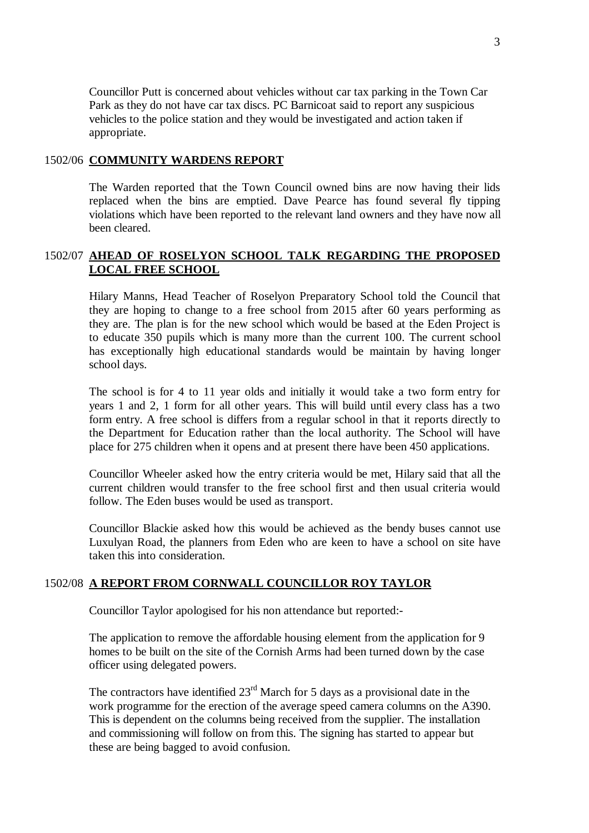Councillor Putt is concerned about vehicles without car tax parking in the Town Car Park as they do not have car tax discs. PC Barnicoat said to report any suspicious vehicles to the police station and they would be investigated and action taken if appropriate.

## 1502/06 **COMMUNITY WARDENS REPORT**

The Warden reported that the Town Council owned bins are now having their lids replaced when the bins are emptied. Dave Pearce has found several fly tipping violations which have been reported to the relevant land owners and they have now all been cleared.

# 1502/07 **AHEAD OF ROSELYON SCHOOL TALK REGARDING THE PROPOSED LOCAL FREE SCHOOL**

Hilary Manns, Head Teacher of Roselyon Preparatory School told the Council that they are hoping to change to a free school from 2015 after 60 years performing as they are. The plan is for the new school which would be based at the Eden Project is to educate 350 pupils which is many more than the current 100. The current school has exceptionally high educational standards would be maintain by having longer school days.

The school is for 4 to 11 year olds and initially it would take a two form entry for years 1 and 2, 1 form for all other years. This will build until every class has a two form entry. A free school is differs from a regular school in that it reports directly to the Department for Education rather than the local authority. The School will have place for 275 children when it opens and at present there have been 450 applications.

Councillor Wheeler asked how the entry criteria would be met, Hilary said that all the current children would transfer to the free school first and then usual criteria would follow. The Eden buses would be used as transport.

Councillor Blackie asked how this would be achieved as the bendy buses cannot use Luxulyan Road, the planners from Eden who are keen to have a school on site have taken this into consideration.

# 1502/08 **A REPORT FROM CORNWALL COUNCILLOR ROY TAYLOR**

Councillor Taylor apologised for his non attendance but reported:-

The application to remove the affordable housing element from the application for 9 homes to be built on the site of the Cornish Arms had been turned down by the case officer using delegated powers.

The contractors have identified  $23<sup>rd</sup>$  March for 5 days as a provisional date in the work programme for the erection of the average speed camera columns on the A390. This is dependent on the columns being received from the supplier. The installation and commissioning will follow on from this. The signing has started to appear but these are being bagged to avoid confusion.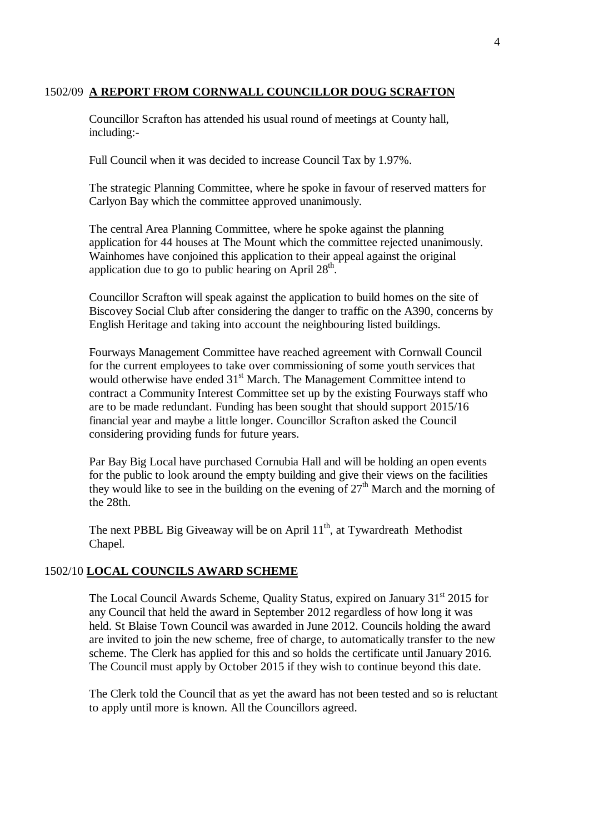# 1502/09 **A REPORT FROM CORNWALL COUNCILLOR DOUG SCRAFTON**

Councillor Scrafton has attended his usual round of meetings at County hall, including:-

Full Council when it was decided to increase Council Tax by 1.97%.

The strategic Planning Committee, where he spoke in favour of reserved matters for Carlyon Bay which the committee approved unanimously.

The central Area Planning Committee, where he spoke against the planning application for 44 houses at The Mount which the committee rejected unanimously. Wainhomes have conjoined this application to their appeal against the original application due to go to public hearing on April  $28<sup>th</sup>$ .

Councillor Scrafton will speak against the application to build homes on the site of Biscovey Social Club after considering the danger to traffic on the A390, concerns by English Heritage and taking into account the neighbouring listed buildings.

Fourways Management Committee have reached agreement with Cornwall Council for the current employees to take over commissioning of some youth services that would otherwise have ended 31<sup>st</sup> March. The Management Committee intend to contract a Community Interest Committee set up by the existing Fourways staff who are to be made redundant. Funding has been sought that should support 2015/16 financial year and maybe a little longer. Councillor Scrafton asked the Council considering providing funds for future years.

Par Bay Big Local have purchased Cornubia Hall and will be holding an open events for the public to look around the empty building and give their views on the facilities they would like to see in the building on the evening of  $27<sup>th</sup>$  March and the morning of the 28th.

The next PBBL Big Giveaway will be on April 11<sup>th</sup>, at Tywardreath Methodist Chapel.

### 1502/10 **LOCAL COUNCILS AWARD SCHEME**

The Local Council Awards Scheme, Quality Status, expired on January 31<sup>st</sup> 2015 for any Council that held the award in September 2012 regardless of how long it was held. St Blaise Town Council was awarded in June 2012. Councils holding the award are invited to join the new scheme, free of charge, to automatically transfer to the new scheme. The Clerk has applied for this and so holds the certificate until January 2016. The Council must apply by October 2015 if they wish to continue beyond this date.

The Clerk told the Council that as yet the award has not been tested and so is reluctant to apply until more is known. All the Councillors agreed.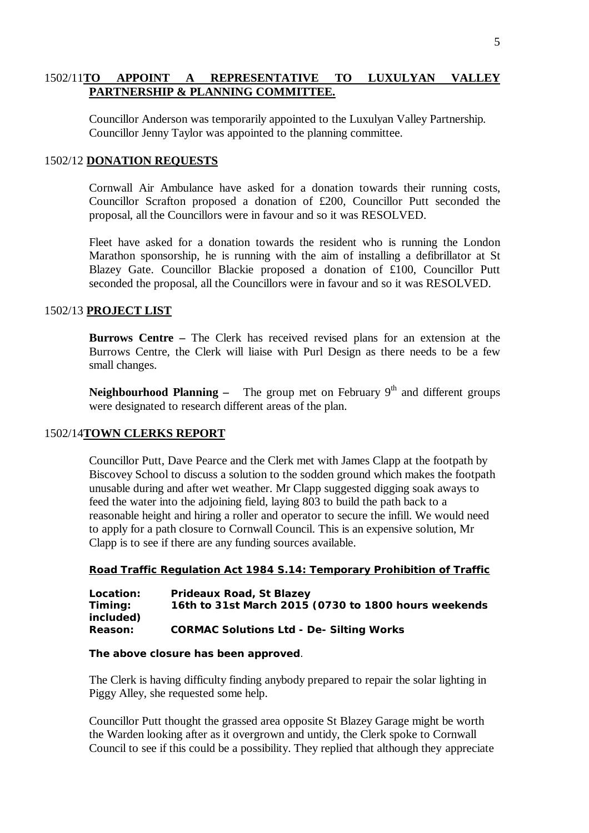# 1502/11**TO APPOINT A REPRESENTATIVE TO LUXULYAN VALLEY PARTNERSHIP & PLANNING COMMITTEE.**

Councillor Anderson was temporarily appointed to the Luxulyan Valley Partnership. Councillor Jenny Taylor was appointed to the planning committee.

#### 1502/12 **DONATION REQUESTS**

Cornwall Air Ambulance have asked for a donation towards their running costs, Councillor Scrafton proposed a donation of £200, Councillor Putt seconded the proposal, all the Councillors were in favour and so it was RESOLVED.

Fleet have asked for a donation towards the resident who is running the London Marathon sponsorship, he is running with the aim of installing a defibrillator at St Blazey Gate. Councillor Blackie proposed a donation of £100, Councillor Putt seconded the proposal, all the Councillors were in favour and so it was RESOLVED.

## 1502/13 **PROJECT LIST**

**Burrows Centre –** The Clerk has received revised plans for an extension at the Burrows Centre, the Clerk will liaise with Purl Design as there needs to be a few small changes.

**Neighbourhood Planning –** The group met on February  $9<sup>th</sup>$  and different groups were designated to research different areas of the plan.

#### 1502/14**TOWN CLERKS REPORT**

Councillor Putt, Dave Pearce and the Clerk met with James Clapp at the footpath by Biscovey School to discuss a solution to the sodden ground which makes the footpath unusable during and after wet weather. Mr Clapp suggested digging soak aways to feed the water into the adjoining field, laying 803 to build the path back to a reasonable height and hiring a roller and operator to secure the infill. We would need to apply for a path closure to Cornwall Council. This is an expensive solution, Mr Clapp is to see if there are any funding sources available.

#### **Road Traffic Regulation Act 1984 S.14: Temporary Prohibition of Traffic**

| Location:            | Prideaux Road, St Blazey<br>16th to 31st March 2015 (0730 to 1800 hours weekends |
|----------------------|----------------------------------------------------------------------------------|
| Timing:<br>included) |                                                                                  |
| Reason:              | <b>CORMAC Solutions Ltd - De- Silting Works</b>                                  |

#### **The above closure has been approved**.

The Clerk is having difficulty finding anybody prepared to repair the solar lighting in Piggy Alley, she requested some help.

Councillor Putt thought the grassed area opposite St Blazey Garage might be worth the Warden looking after as it overgrown and untidy, the Clerk spoke to Cornwall Council to see if this could be a possibility. They replied that although they appreciate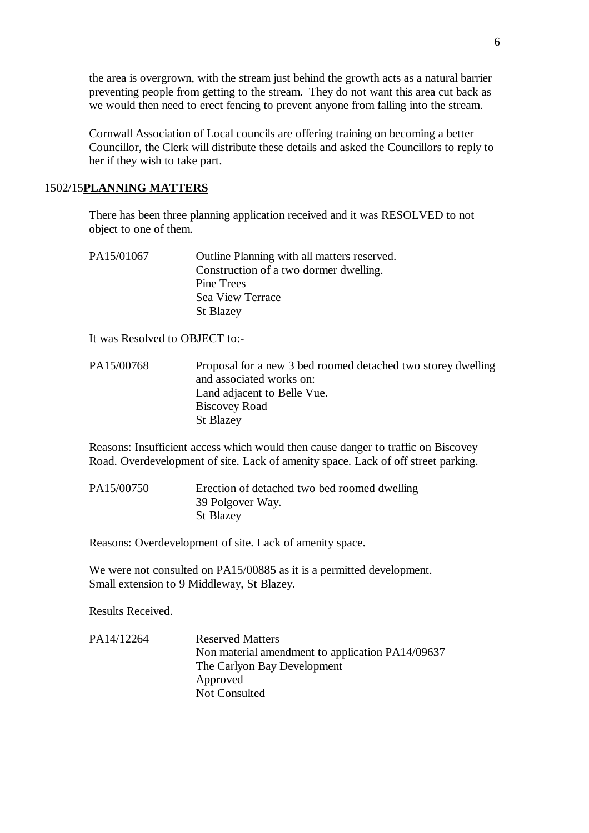the area is overgrown, with the stream just behind the growth acts as a natural barrier preventing people from getting to the stream. They do not want this area cut back as we would then need to erect fencing to prevent anyone from falling into the stream.

Cornwall Association of Local councils are offering training on becoming a better Councillor, the Clerk will distribute these details and asked the Councillors to reply to her if they wish to take part.

## 1502/15**PLANNING MATTERS**

There has been three planning application received and it was RESOLVED to not object to one of them.

| PA15/01067 | Outline Planning with all matters reserved. |
|------------|---------------------------------------------|
|            | Construction of a two dormer dwelling.      |
|            | Pine Trees                                  |
|            | Sea View Terrace                            |
|            | <b>St Blazey</b>                            |

It was Resolved to OBJECT to:-

PA15/00768 Proposal for a new 3 bed roomed detached two storey dwelling and associated works on: Land adjacent to Belle Vue. Biscovey Road St Blazey

Reasons: Insufficient access which would then cause danger to traffic on Biscovey Road. Overdevelopment of site. Lack of amenity space. Lack of off street parking.

PA15/00750 Erection of detached two bed roomed dwelling 39 Polgover Way. St Blazey

Reasons: Overdevelopment of site. Lack of amenity space.

We were not consulted on PA15/00885 as it is a permitted development. Small extension to 9 Middleway, St Blazey.

Results Received.

PA14/12264 Reserved Matters Non material amendment to application PA14/09637 The Carlyon Bay Development Approved Not Consulted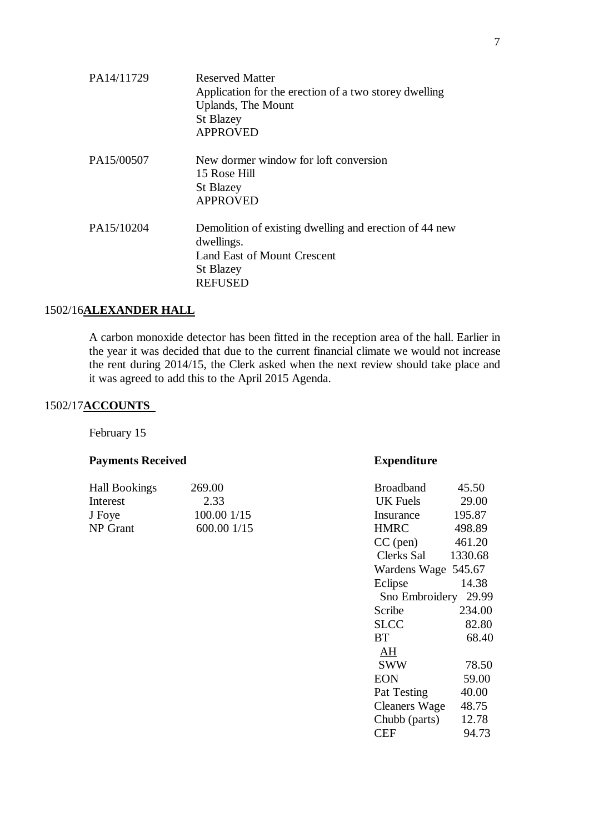| PA14/11729 | <b>Reserved Matter</b><br>Application for the erection of a two storey dwelling<br><b>Uplands</b> , The Mount<br><b>St Blazey</b><br><b>APPROVED</b> |
|------------|------------------------------------------------------------------------------------------------------------------------------------------------------|
| PA15/00507 | New dormer window for loft conversion<br>15 Rose Hill<br><b>St Blazey</b><br><b>APPROVED</b>                                                         |
| PA15/10204 | Demolition of existing dwelling and erection of 44 new<br>dwellings.<br>Land East of Mount Crescent<br><b>St Blazey</b><br><b>REFUSED</b>            |

# 1502/16**ALEXANDER HALL**

A carbon monoxide detector has been fitted in the reception area of the hall. Earlier in the year it was decided that due to the current financial climate we would not increase the rent during 2014/15, the Clerk asked when the next review should take place and it was agreed to add this to the April 2015 Agenda.

# 1502/17**ACCOUNTS**

February 15

# **Payments Received <b>Expenditure**

| 269.00      | <b>Broadband</b> | 45.50  |
|-------------|------------------|--------|
| 2.33        | UK Fuels         | 29.00  |
| 100.00 1/15 | Insurance        | 195.87 |
| 600.001/15  | HMRC.            | 498.89 |
|             |                  |        |

|      | <b>Broadband</b>     | 45.50   |
|------|----------------------|---------|
|      | UK Fuels             | 29.00   |
| 1/15 | Insurance            | 195.87  |
| 1/15 | <b>HMRC</b>          | 498.89  |
|      | $CC$ (pen)           | 461.20  |
|      | Clerks Sal           | 1330.68 |
|      | Wardens Wage 545.67  |         |
|      | Eclipse              | 14.38   |
|      | Sno Embroidery 29.99 |         |
|      | Scribe               | 234.00  |
|      | <b>SLCC</b>          | 82.80   |
|      | BT                   | 68.40   |
|      | AH                   |         |
|      | SWW                  | 78.50   |
|      | <b>EON</b>           | 59.00   |
|      | Pat Testing          | 40.00   |
|      | Cleaners Wage        | 48.75   |
|      | Chubb (parts)        | 12.78   |
|      | CEF                  | 94.73   |
|      |                      |         |